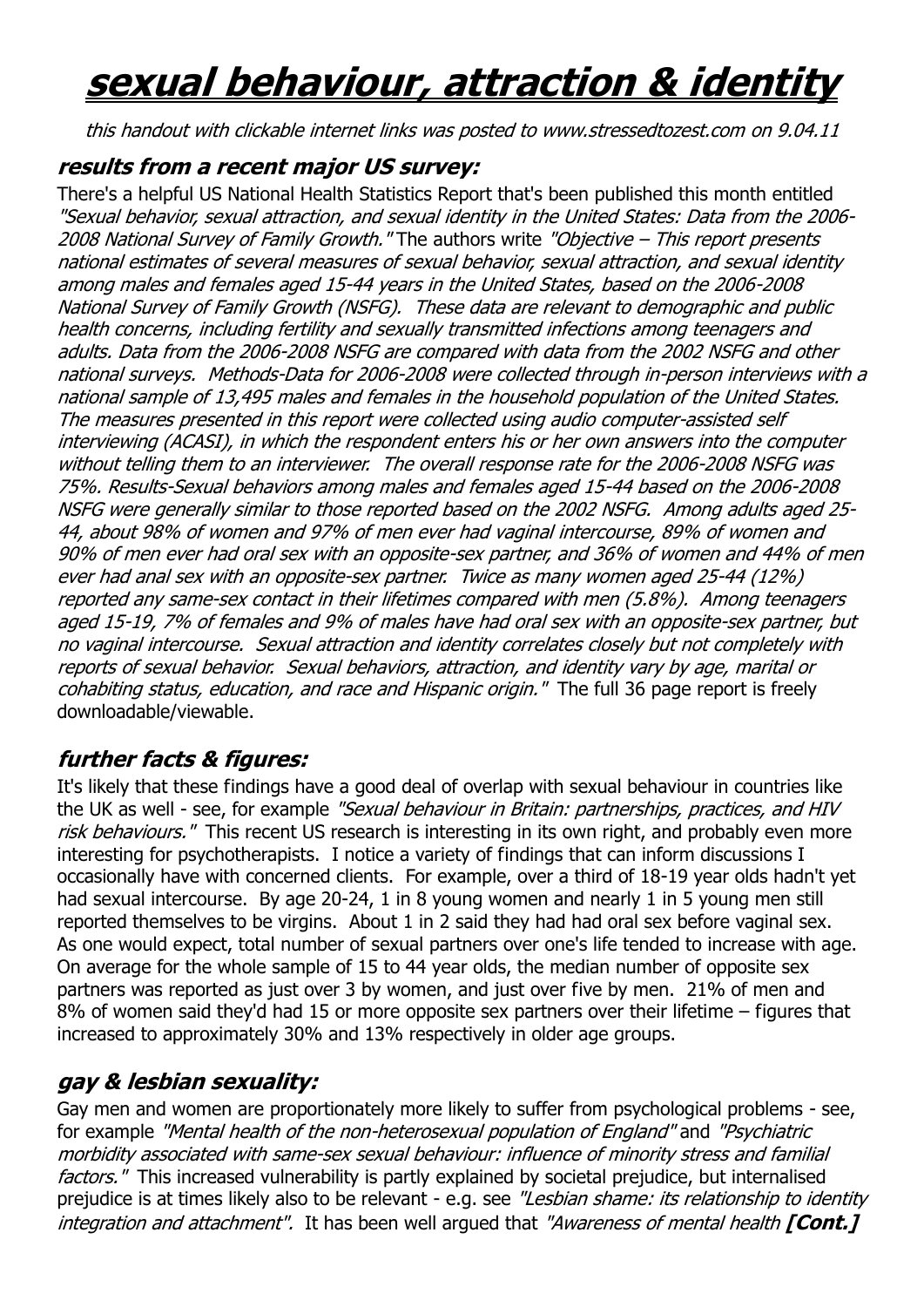## **sexual behaviour, attraction & identity**

this handout with clickable internet links was posted to www.stressedtozest.com on 9.04.11

## **results from a recent major US survey:**

There's a helpful US National Health Statistics Report that's been published this month entitled "Sexual behavior, sexual attraction, and sexual identity in the United States: Data from the 2006- 2008 National Survey of Family Growth." The authors write "Objective – This report presents national estimates of several measures of sexual behavior, sexual attraction, and sexual identity among males and females aged 15-44 years in the United States, based on the 2006-2008 National Survey of Family Growth (NSFG). These data are relevant to demographic and public health concerns, including fertility and sexually transmitted infections among teenagers and adults. Data from the 2006-2008 NSFG are compared with data from the 2002 NSFG and other national surveys. Methods-Data for 2006-2008 were collected through in-person interviews with a national sample of 13,495 males and females in the household population of the United States. The measures presented in this report were collected using audio computer-assisted self interviewing (ACASI), in which the respondent enters his or her own answers into the computer without telling them to an interviewer. The overall response rate for the 2006-2008 NSFG was 75%. Results-Sexual behaviors among males and females aged 15-44 based on the 2006-2008 NSFG were generally similar to those reported based on the 2002 NSFG. Among adults aged 25- 44, about 98% of women and 97% of men ever had vaginal intercourse, 89% of women and 90% of men ever had oral sex with an opposite-sex partner, and 36% of women and 44% of men ever had anal sex with an opposite-sex partner. Twice as many women aged 25-44 (12%) reported any same-sex contact in their lifetimes compared with men (5.8%). Among teenagers aged 15-19, 7% of females and 9% of males have had oral sex with an opposite-sex partner, but no vaginal intercourse. Sexual attraction and identity correlates closely but not completely with reports of sexual behavior. Sexual behaviors, attraction, and identity vary by age, marital or cohabiting status, education, and race and Hispanic origin." The full 36 page report is freely downloadable/viewable.

## **further facts & figures:**

It's likely that these findings have a good deal of overlap with sexual behaviour in countries like the UK as well - see, for example "Sexual behaviour in Britain: partnerships, practices, and HIV risk behaviours." This recent US research is interesting in its own right, and probably even more interesting for psychotherapists. I notice a variety of findings that can inform discussions I occasionally have with concerned clients. For example, over a third of 18-19 year olds hadn't yet had sexual intercourse. By age 20-24, 1 in 8 young women and nearly 1 in 5 young men still reported themselves to be virgins. About 1 in 2 said they had had oral sex before vaginal sex. As one would expect, total number of sexual partners over one's life tended to increase with age. On average for the whole sample of 15 to 44 year olds, the median number of opposite sex partners was reported as just over 3 by women, and just over five by men. 21% of men and 8% of women said they'd had 15 or more opposite sex partners over their lifetime – figures that increased to approximately 30% and 13% respectively in older age groups.

## **gay & lesbian sexuality:**

Gay men and women are proportionately more likely to suffer from psychological problems - see, for example "Mental health of the non-heterosexual population of England" and "Psychiatric morbidity associated with same-sex sexual behaviour: influence of minority stress and familial factors." This increased vulnerability is partly explained by societal prejudice, but internalised prejudice is at times likely also to be relevant - e.g. see "Lesbian shame: its relationship to identity integration and attachment". It has been well argued that "Awareness of mental health **[Cont.]**